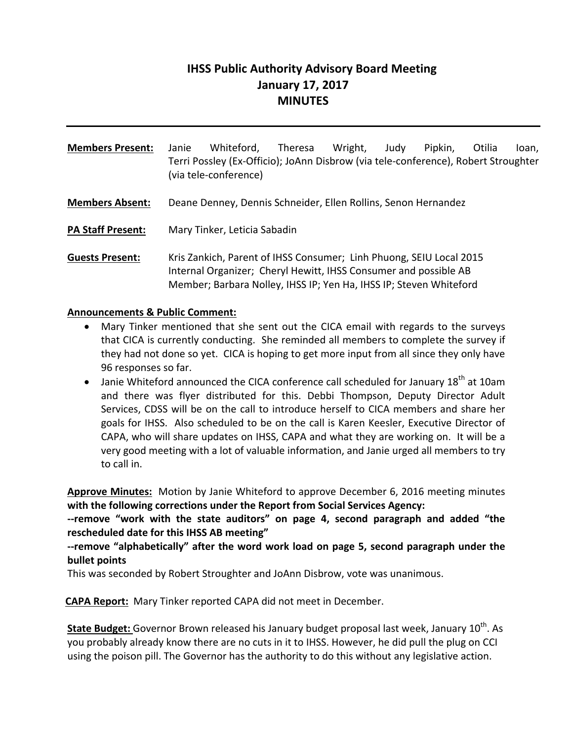# **IHSS Public Authority Advisory Board Meeting January 17, 2017 MINUTES**

**Members Present:** Janie Whiteford, Theresa Wright, Judy Pipkin, Otilia Ioan, Terri Possley (Ex‐Officio); JoAnn Disbrow (via tele‐conference), Robert Stroughter (via tele‐conference) **Members Absent:** Deane Denney, Dennis Schneider, Ellen Rollins, Senon Hernandez **PA Staff Present:** Mary Tinker, Leticia Sabadin

**Guests Present:** Kris Zankich, Parent of IHSS Consumer; Linh Phuong, SEIU Local 2015 Internal Organizer; Cheryl Hewitt, IHSS Consumer and possible AB Member; Barbara Nolley, IHSS IP; Yen Ha, IHSS IP; Steven Whiteford

### **Announcements & Public Comment:**

- Mary Tinker mentioned that she sent out the CICA email with regards to the surveys that CICA is currently conducting. She reminded all members to complete the survey if they had not done so yet. CICA is hoping to get more input from all since they only have 96 responses so far.
- $\bullet$  Janie Whiteford announced the CICA conference call scheduled for January 18<sup>th</sup> at 10am and there was flyer distributed for this. Debbi Thompson, Deputy Director Adult Services, CDSS will be on the call to introduce herself to CICA members and share her goals for IHSS. Also scheduled to be on the call is Karen Keesler, Executive Director of CAPA, who will share updates on IHSS, CAPA and what they are working on. It will be a very good meeting with a lot of valuable information, and Janie urged all members to try to call in.

**Approve Minutes:** Motion by Janie Whiteford to approve December 6, 2016 meeting minutes **with the following corrections under the Report from Social Services Agency:**

**‐‐remove "work with the state auditors" on page 4, second paragraph and added "the rescheduled date for this IHSS AB meeting"**

**‐‐remove "alphabetically" after the word work load on page 5, second paragraph under the bullet points**

This was seconded by Robert Stroughter and JoAnn Disbrow, vote was unanimous.

**CAPA Report:** Mary Tinker reported CAPA did not meet in December.

**State Budget:** Governor Brown released his January budget proposal last week, January 10<sup>th</sup>. As you probably already know there are no cuts in it to IHSS. However, he did pull the plug on CCI using the poison pill. The Governor has the authority to do this without any legislative action.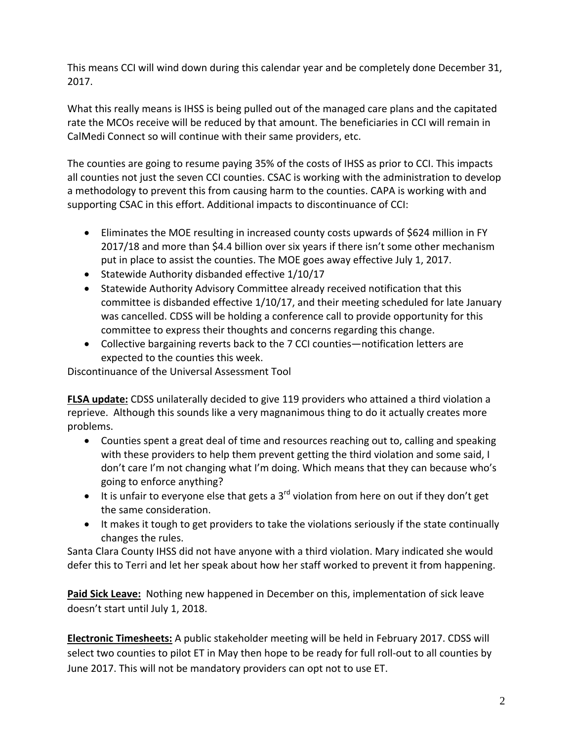This means CCI will wind down during this calendar year and be completely done December 31, 2017.

What this really means is IHSS is being pulled out of the managed care plans and the capitated rate the MCOs receive will be reduced by that amount. The beneficiaries in CCI will remain in CalMedi Connect so will continue with their same providers, etc.

The counties are going to resume paying 35% of the costs of IHSS as prior to CCI. This impacts all counties not just the seven CCI counties. CSAC is working with the administration to develop a methodology to prevent this from causing harm to the counties. CAPA is working with and supporting CSAC in this effort. Additional impacts to discontinuance of CCI:

- Eliminates the MOE resulting in increased county costs upwards of \$624 million in FY 2017/18 and more than \$4.4 billion over six years if there isn't some other mechanism put in place to assist the counties. The MOE goes away effective July 1, 2017.
- Statewide Authority disbanded effective 1/10/17
- Statewide Authority Advisory Committee already received notification that this committee is disbanded effective 1/10/17, and their meeting scheduled for late January was cancelled. CDSS will be holding a conference call to provide opportunity for this committee to express their thoughts and concerns regarding this change.
- Collective bargaining reverts back to the 7 CCI counties—notification letters are expected to the counties this week.

Discontinuance of the Universal Assessment Tool

**FLSA update:** CDSS unilaterally decided to give 119 providers who attained a third violation a reprieve. Although this sounds like a very magnanimous thing to do it actually creates more problems.

- Counties spent a great deal of time and resources reaching out to, calling and speaking with these providers to help them prevent getting the third violation and some said, I don't care I'm not changing what I'm doing. Which means that they can because who's going to enforce anything?
- It is unfair to everyone else that gets a  $3<sup>rd</sup>$  violation from here on out if they don't get the same consideration.
- It makes it tough to get providers to take the violations seriously if the state continually changes the rules.

Santa Clara County IHSS did not have anyone with a third violation. Mary indicated she would defer this to Terri and let her speak about how her staff worked to prevent it from happening.

**Paid Sick Leave:** Nothing new happened in December on this, implementation of sick leave doesn't start until July 1, 2018.

**Electronic Timesheets:** A public stakeholder meeting will be held in February 2017. CDSS will select two counties to pilot ET in May then hope to be ready for full roll-out to all counties by June 2017. This will not be mandatory providers can opt not to use ET.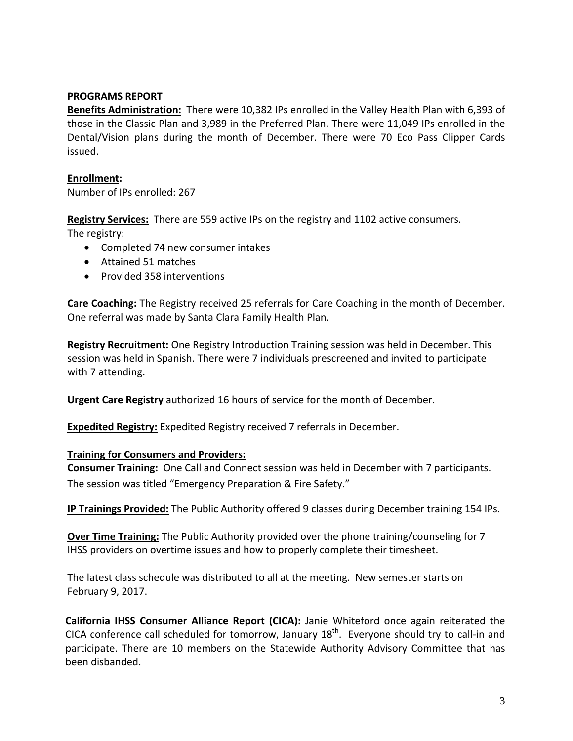#### **PROGRAMS REPORT**

**Benefits Administration:** There were 10,382 IPs enrolled in the Valley Health Plan with 6,393 of those in the Classic Plan and 3,989 in the Preferred Plan. There were 11,049 IPs enrolled in the Dental/Vision plans during the month of December. There were 70 Eco Pass Clipper Cards issued.

#### **Enrollment:**

Number of IPs enrolled: 267

**Registry Services:** There are 559 active IPs on the registry and 1102 active consumers.

The registry:

- Completed 74 new consumer intakes
- Attained 51 matches
- Provided 358 interventions

**Care Coaching:** The Registry received 25 referrals for Care Coaching in the month of December. One referral was made by Santa Clara Family Health Plan.

**Registry Recruitment:** One Registry Introduction Training session was held in December. This session was held in Spanish. There were 7 individuals prescreened and invited to participate with 7 attending.

**Urgent Care Registry** authorized 16 hours of service for the month of December.

**Expedited Registry:** Expedited Registry received 7 referrals in December.

#### **Training for Consumers and Providers:**

**Consumer Training:** One Call and Connect session was held in December with 7 participants. The session was titled "Emergency Preparation & Fire Safety."

**IP Trainings Provided:** The Public Authority offered 9 classes during December training 154 IPs.

**Over Time Training:** The Public Authority provided over the phone training/counseling for 7 IHSS providers on overtime issues and how to properly complete their timesheet.

The latest class schedule was distributed to all at the meeting. New semester starts on February 9, 2017.

**California IHSS Consumer Alliance Report (CICA):** Janie Whiteford once again reiterated the CICA conference call scheduled for tomorrow, January  $18<sup>th</sup>$ . Everyone should try to call-in and participate. There are 10 members on the Statewide Authority Advisory Committee that has been disbanded.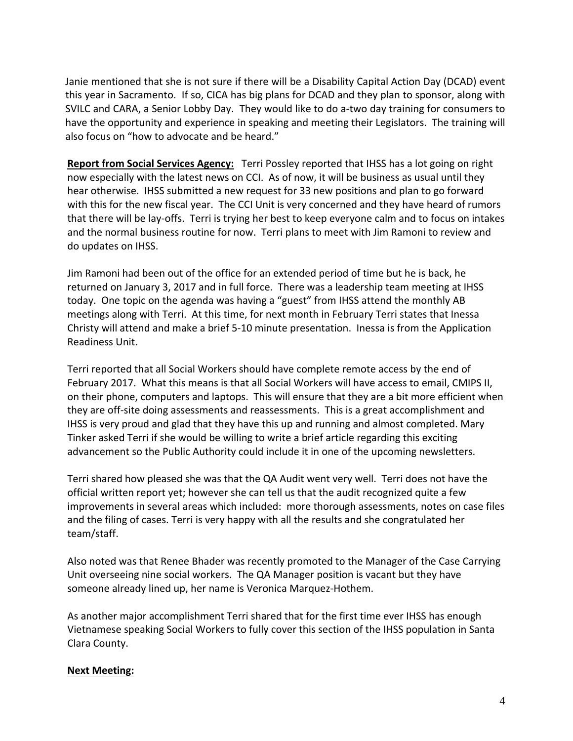Janie mentioned that she is not sure if there will be a Disability Capital Action Day (DCAD) event this year in Sacramento. If so, CICA has big plans for DCAD and they plan to sponsor, along with SVILC and CARA, a Senior Lobby Day. They would like to do a-two day training for consumers to have the opportunity and experience in speaking and meeting their Legislators. The training will also focus on "how to advocate and be heard."

**Report from Social Services Agency:** Terri Possley reported that IHSS has a lot going on right now especially with the latest news on CCI. As of now, it will be business as usual until they hear otherwise. IHSS submitted a new request for 33 new positions and plan to go forward with this for the new fiscal year. The CCI Unit is very concerned and they have heard of rumors that there will be lay‐offs. Terri is trying her best to keep everyone calm and to focus on intakes and the normal business routine for now. Terri plans to meet with Jim Ramoni to review and do updates on IHSS.

Jim Ramoni had been out of the office for an extended period of time but he is back, he returned on January 3, 2017 and in full force. There was a leadership team meeting at IHSS today. One topic on the agenda was having a "guest" from IHSS attend the monthly AB meetings along with Terri. At this time, for next month in February Terri states that Inessa Christy will attend and make a brief 5‐10 minute presentation. Inessa is from the Application Readiness Unit.

Terri reported that all Social Workers should have complete remote access by the end of February 2017. What this means is that all Social Workers will have access to email, CMIPS II, on their phone, computers and laptops. This will ensure that they are a bit more efficient when they are off‐site doing assessments and reassessments. This is a great accomplishment and IHSS is very proud and glad that they have this up and running and almost completed. Mary Tinker asked Terri if she would be willing to write a brief article regarding this exciting advancement so the Public Authority could include it in one of the upcoming newsletters.

Terri shared how pleased she was that the QA Audit went very well. Terri does not have the official written report yet; however she can tell us that the audit recognized quite a few improvements in several areas which included: more thorough assessments, notes on case files and the filing of cases. Terri is very happy with all the results and she congratulated her team/staff.

Also noted was that Renee Bhader was recently promoted to the Manager of the Case Carrying Unit overseeing nine social workers. The QA Manager position is vacant but they have someone already lined up, her name is Veronica Marquez-Hothem.

As another major accomplishment Terri shared that for the first time ever IHSS has enough Vietnamese speaking Social Workers to fully cover this section of the IHSS population in Santa Clara County.

## **Next Meeting:**